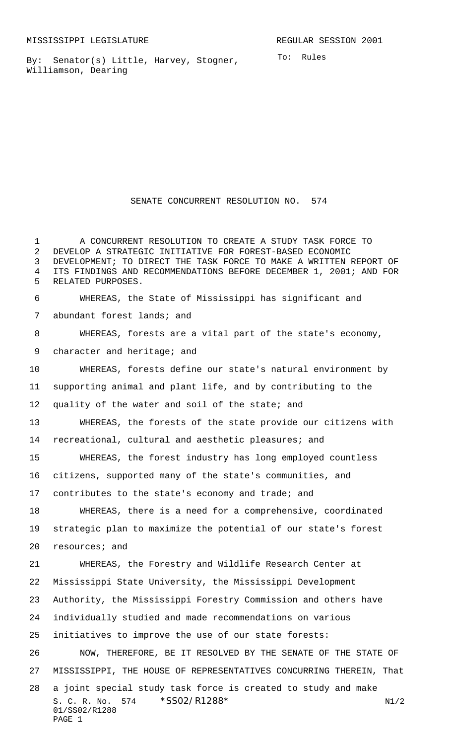By: Senator(s) Little, Harvey, Stogner, Williamson, Dearing

 DEVELOPMENT; TO DIRECT THE TASK FORCE TO MAKE A WRITTEN REPORT OF ITS FINDINGS AND RECOMMENDATIONS BEFORE DECEMBER 1, 2001; AND FOR RELATED PURPOSES. WHEREAS, the State of Mississippi has significant and abundant forest lands; and WHEREAS, forests are a vital part of the state's economy, 9 character and heritage; and WHEREAS, forests define our state's natural environment by supporting animal and plant life, and by contributing to the 12 quality of the water and soil of the state; and WHEREAS, the forests of the state provide our citizens with recreational, cultural and aesthetic pleasures; and WHEREAS, the forest industry has long employed countless citizens, supported many of the state's communities, and contributes to the state's economy and trade; and WHEREAS, there is a need for a comprehensive, coordinated strategic plan to maximize the potential of our state's forest resources; and WHEREAS, the Forestry and Wildlife Research Center at Mississippi State University, the Mississippi Development Authority, the Mississippi Forestry Commission and others have individually studied and made recommendations on various

SENATE CONCURRENT RESOLUTION NO. 574

 A CONCURRENT RESOLUTION TO CREATE A STUDY TASK FORCE TO DEVELOP A STRATEGIC INITIATIVE FOR FOREST-BASED ECONOMIC

initiatives to improve the use of our state forests:

 NOW, THEREFORE, BE IT RESOLVED BY THE SENATE OF THE STATE OF MISSISSIPPI, THE HOUSE OF REPRESENTATIVES CONCURRING THEREIN, That

```
S. C. R. No. 574 *SS02/R1288* N1/2
   01/SS02/R1288
   PAGE 1
28 a joint special study task force is created to study and make
```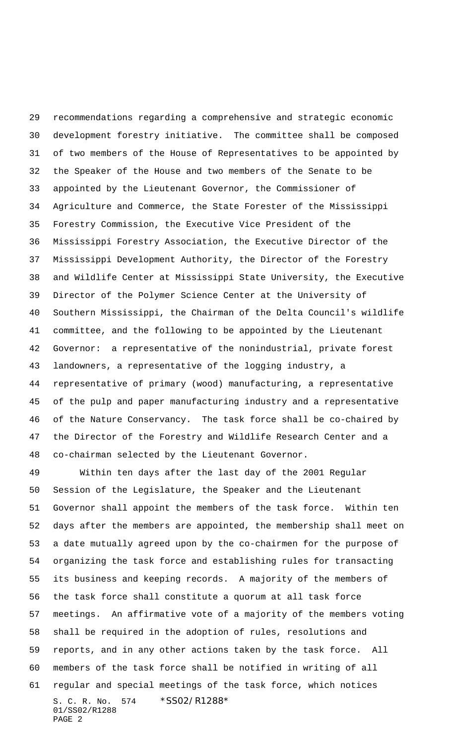recommendations regarding a comprehensive and strategic economic development forestry initiative. The committee shall be composed of two members of the House of Representatives to be appointed by the Speaker of the House and two members of the Senate to be appointed by the Lieutenant Governor, the Commissioner of Agriculture and Commerce, the State Forester of the Mississippi Forestry Commission, the Executive Vice President of the Mississippi Forestry Association, the Executive Director of the Mississippi Development Authority, the Director of the Forestry and Wildlife Center at Mississippi State University, the Executive Director of the Polymer Science Center at the University of Southern Mississippi, the Chairman of the Delta Council's wildlife committee, and the following to be appointed by the Lieutenant Governor: a representative of the nonindustrial, private forest landowners, a representative of the logging industry, a representative of primary (wood) manufacturing, a representative of the pulp and paper manufacturing industry and a representative of the Nature Conservancy. The task force shall be co-chaired by the Director of the Forestry and Wildlife Research Center and a co-chairman selected by the Lieutenant Governor.

S. C. R. No. 574 \*SS02/R1288\* 01/SS02/R1288 PAGE 2 Within ten days after the last day of the 2001 Regular Session of the Legislature, the Speaker and the Lieutenant Governor shall appoint the members of the task force. Within ten days after the members are appointed, the membership shall meet on a date mutually agreed upon by the co-chairmen for the purpose of organizing the task force and establishing rules for transacting its business and keeping records. A majority of the members of the task force shall constitute a quorum at all task force meetings. An affirmative vote of a majority of the members voting shall be required in the adoption of rules, resolutions and reports, and in any other actions taken by the task force. All members of the task force shall be notified in writing of all regular and special meetings of the task force, which notices